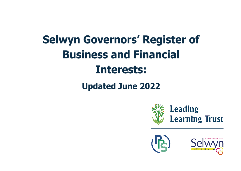## **Selwyn Governors' Register of Business and Financial** Interests:

## **Updated June 2022**





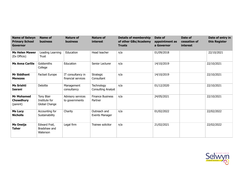| <b>Name of Selwyn</b><br><b>Primary School</b><br><b>Governor</b> | <b>Name of</b><br><b>business</b>            | <b>Nature of</b><br><b>business</b>     | <b>Nature of</b><br><i>interest</i> | <b>Details of membership</b><br>of other GBs/Academy<br><b>Trusts</b> | Date of<br>appointment as<br>a Governor | Date of<br>cessation of<br>interest | Date of entry in<br>this Register |
|-------------------------------------------------------------------|----------------------------------------------|-----------------------------------------|-------------------------------------|-----------------------------------------------------------------------|-----------------------------------------|-------------------------------------|-----------------------------------|
| <b>Ms Helen Mawer</b><br>(Ex Officio)                             | Leading Learning<br>Trust                    | Education                               | Head teacher                        | n/a                                                                   | 01/09/2018                              |                                     | 22/10/2021                        |
| <b>Ms Anna Carlile</b>                                            | Goldsmiths<br>College                        | Education                               | Senior Lecturer                     | n/a                                                                   | 14/10/2019                              |                                     | 22/10/2021                        |
| <b>Mr Siddhant</b><br><b>Menezes</b>                              | Factset Europe                               | IT consultancy in<br>financial services | Strategic<br>Consultant             | n/a                                                                   | 14/10/2019                              |                                     | 22/10/2021                        |
| <b>Ms Srishti</b><br>Issrani                                      | Deloitte                                     | Management<br>consultancy               | Technology<br>Consulting Analyst    | n/a                                                                   | 01/12/2020                              |                                     | 22/10/2021                        |
| <b>Mr Mohamed</b><br>Chowdhury<br>(parent)                        | Tony Blair<br>Institute for<br>Global Change | Advisory services<br>to governments     | <b>Finance Business</b><br>Partner  | n/a                                                                   | 24/05/2021                              |                                     | 22/10/2021                        |
| <b>Ms Lucy</b><br><b>Nicholls</b>                                 | Accounting for<br>Sustainability             | Charity                                 | Outreach and<br>Events Manager      | n/a                                                                   | 01/02/2022                              |                                     | 22/02/2022                        |
| <b>Ms Oneija</b><br><b>Taher</b>                                  | Edward Frail,<br>Bradshaw and<br>Waterson    | Legal firm                              | Trainee solicitor                   | n/a                                                                   | 21/02/2021                              |                                     | 22/02/2022                        |